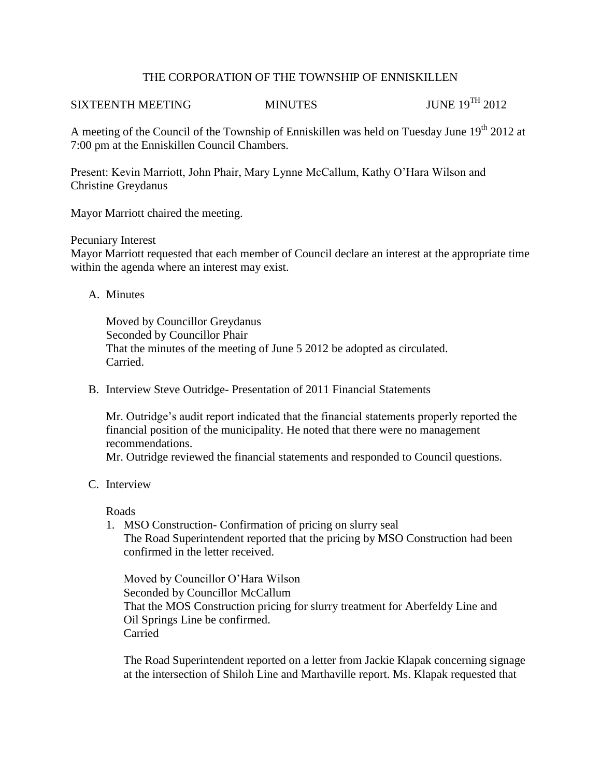### THE CORPORATION OF THE TOWNSHIP OF ENNISKILLEN

# SIXTEENTH MEETING MINUTES JUNE 19<sup>TH</sup> 2012

A meeting of the Council of the Township of Enniskillen was held on Tuesday June  $19<sup>th</sup> 2012$  at 7:00 pm at the Enniskillen Council Chambers.

Present: Kevin Marriott, John Phair, Mary Lynne McCallum, Kathy O'Hara Wilson and Christine Greydanus

Mayor Marriott chaired the meeting.

Pecuniary Interest

Mayor Marriott requested that each member of Council declare an interest at the appropriate time within the agenda where an interest may exist.

A. Minutes

Moved by Councillor Greydanus Seconded by Councillor Phair That the minutes of the meeting of June 5 2012 be adopted as circulated. Carried.

B. Interview Steve Outridge- Presentation of 2011 Financial Statements

Mr. Outridge's audit report indicated that the financial statements properly reported the financial position of the municipality. He noted that there were no management recommendations.

Mr. Outridge reviewed the financial statements and responded to Council questions.

C. Interview

Roads

1. MSO Construction- Confirmation of pricing on slurry seal The Road Superintendent reported that the pricing by MSO Construction had been confirmed in the letter received.

Moved by Councillor O'Hara Wilson Seconded by Councillor McCallum That the MOS Construction pricing for slurry treatment for Aberfeldy Line and Oil Springs Line be confirmed. Carried

The Road Superintendent reported on a letter from Jackie Klapak concerning signage at the intersection of Shiloh Line and Marthaville report. Ms. Klapak requested that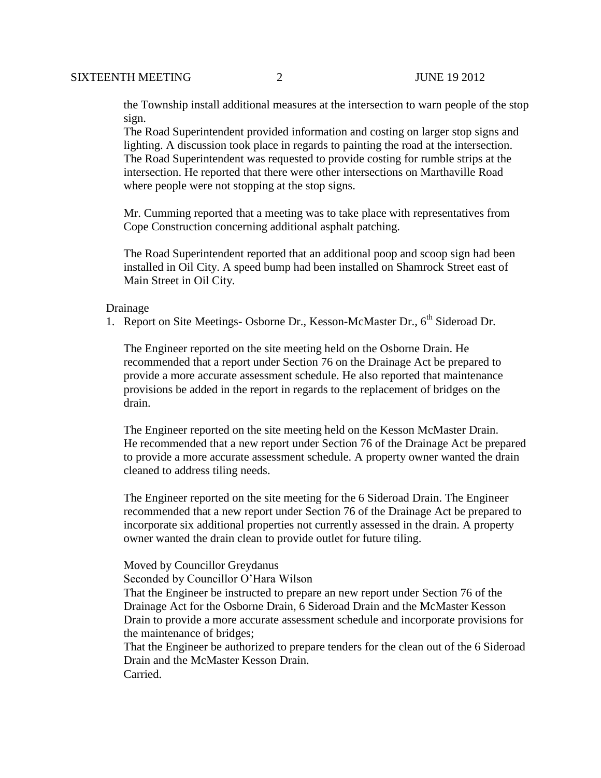the Township install additional measures at the intersection to warn people of the stop sign.

The Road Superintendent provided information and costing on larger stop signs and lighting. A discussion took place in regards to painting the road at the intersection. The Road Superintendent was requested to provide costing for rumble strips at the intersection. He reported that there were other intersections on Marthaville Road where people were not stopping at the stop signs.

Mr. Cumming reported that a meeting was to take place with representatives from Cope Construction concerning additional asphalt patching.

The Road Superintendent reported that an additional poop and scoop sign had been installed in Oil City. A speed bump had been installed on Shamrock Street east of Main Street in Oil City.

#### Drainage

1. Report on Site Meetings- Osborne Dr., Kesson-McMaster Dr., 6<sup>th</sup> Sideroad Dr.

The Engineer reported on the site meeting held on the Osborne Drain. He recommended that a report under Section 76 on the Drainage Act be prepared to provide a more accurate assessment schedule. He also reported that maintenance provisions be added in the report in regards to the replacement of bridges on the drain.

The Engineer reported on the site meeting held on the Kesson McMaster Drain. He recommended that a new report under Section 76 of the Drainage Act be prepared to provide a more accurate assessment schedule. A property owner wanted the drain cleaned to address tiling needs.

 The Engineer reported on the site meeting for the 6 Sideroad Drain. The Engineer recommended that a new report under Section 76 of the Drainage Act be prepared to incorporate six additional properties not currently assessed in the drain. A property owner wanted the drain clean to provide outlet for future tiling.

Moved by Councillor Greydanus

Seconded by Councillor O'Hara Wilson

 That the Engineer be instructed to prepare an new report under Section 76 of the Drainage Act for the Osborne Drain, 6 Sideroad Drain and the McMaster Kesson Drain to provide a more accurate assessment schedule and incorporate provisions for the maintenance of bridges;

 That the Engineer be authorized to prepare tenders for the clean out of the 6 Sideroad Drain and the McMaster Kesson Drain. Carried.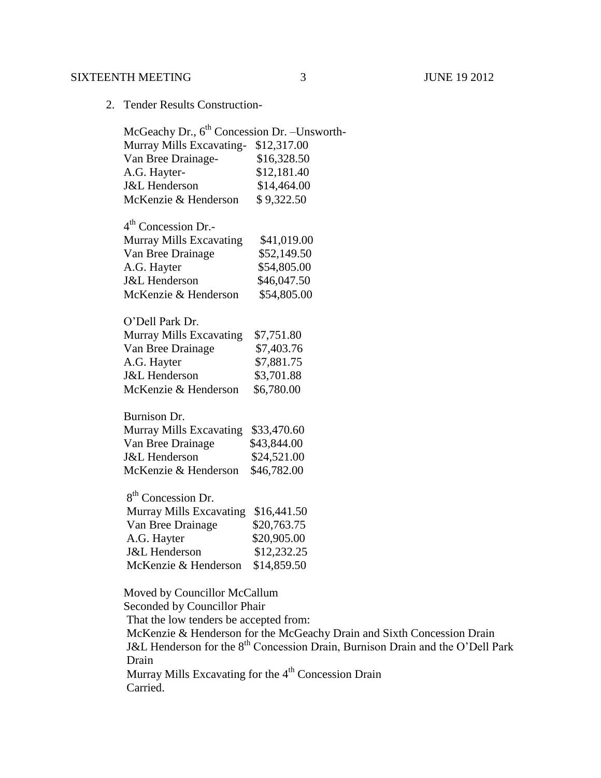# SIXTEENTH MEETING 3 JUNE 19 2012

2. Tender Results Construction-

|  | McGeachy Dr., 6 <sup>th</sup> Concession Dr. - Unsworth-                                               |                                                                                            |
|--|--------------------------------------------------------------------------------------------------------|--------------------------------------------------------------------------------------------|
|  | Murray Mills Excavating-                                                                               | \$12,317.00                                                                                |
|  | Van Bree Drainage-                                                                                     | \$16,328.50                                                                                |
|  | A.G. Hayter-                                                                                           | \$12,181.40                                                                                |
|  | <b>J&amp;L</b> Henderson                                                                               | \$14,464.00                                                                                |
|  | McKenzie & Henderson                                                                                   | \$9,322.50                                                                                 |
|  | $4th$ Concession Dr.-                                                                                  |                                                                                            |
|  | Murray Mills Excavating                                                                                | \$41,019.00                                                                                |
|  | Van Bree Drainage                                                                                      | \$52,149.50                                                                                |
|  | A.G. Hayter                                                                                            | \$54,805.00                                                                                |
|  | J&L Henderson                                                                                          | \$46,047.50                                                                                |
|  | McKenzie & Henderson                                                                                   | \$54,805.00                                                                                |
|  | O'Dell Park Dr.                                                                                        |                                                                                            |
|  | Murray Mills Excavating                                                                                | \$7,751.80                                                                                 |
|  | Van Bree Drainage                                                                                      | \$7,403.76                                                                                 |
|  | A.G. Hayter                                                                                            | \$7,881.75                                                                                 |
|  | <b>J&amp;L</b> Henderson                                                                               | \$3,701.88                                                                                 |
|  | McKenzie & Henderson                                                                                   | \$6,780.00                                                                                 |
|  | Burnison Dr.                                                                                           |                                                                                            |
|  | Murray Mills Excavating                                                                                | \$33,470.60                                                                                |
|  | Van Bree Drainage                                                                                      | \$43,844.00                                                                                |
|  | J&L Henderson                                                                                          | \$24,521.00                                                                                |
|  | McKenzie & Henderson                                                                                   | \$46,782.00                                                                                |
|  | 8 <sup>th</sup> Concession Dr.                                                                         |                                                                                            |
|  | Murray Mills Excavating                                                                                | \$16,441.50                                                                                |
|  | Van Bree Drainage                                                                                      | \$20,763.75                                                                                |
|  | A.G. Hayter                                                                                            | \$20,905.00                                                                                |
|  | <b>J&amp;L</b> Henderson                                                                               | \$12,232.25                                                                                |
|  | McKenzie & Henderson                                                                                   | \$14,859.50                                                                                |
|  | Moved by Councillor McCallum<br>Seconded by Councillor Phair<br>That the low tenders be accepted from: |                                                                                            |
|  |                                                                                                        |                                                                                            |
|  |                                                                                                        |                                                                                            |
|  |                                                                                                        | McKenzie & Henderson for the McGeachy Drain and Sixth Concession Drain                     |
|  |                                                                                                        | J&L Henderson for the 8 <sup>th</sup> Concession Drain, Burnison Drain and the O'Dell Park |
|  | Drain                                                                                                  |                                                                                            |
|  |                                                                                                        | Murray Mills Excavating for the 4 <sup>th</sup> Concession Drain                           |

Carried.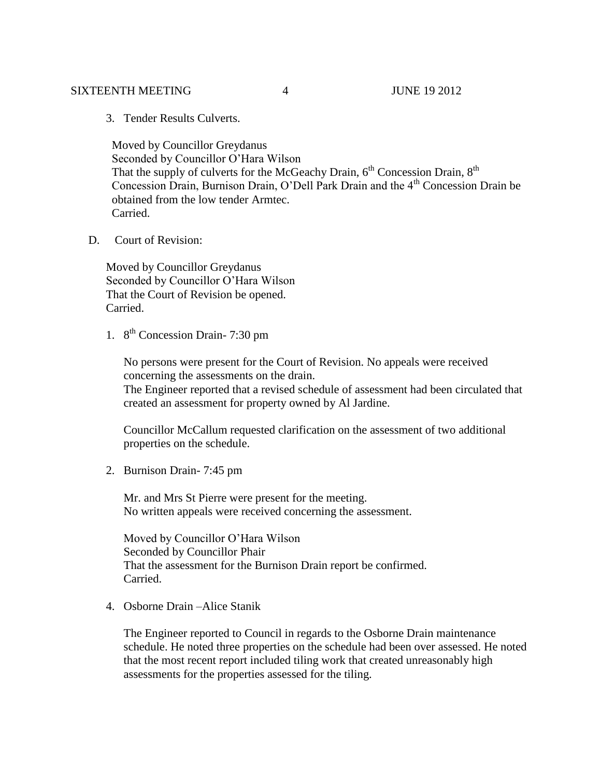#### SIXTEENTH MEETING  $\overline{4}$  and  $\overline{4}$  june 19 2012

3. Tender Results Culverts.

 Moved by Councillor Greydanus Seconded by Councillor O'Hara Wilson That the supply of culverts for the McGeachy Drain,  $6<sup>th</sup>$  Concession Drain,  $8<sup>th</sup>$ Concession Drain, Burnison Drain, O'Dell Park Drain and the 4<sup>th</sup> Concession Drain be obtained from the low tender Armtec. Carried.

D. Court of Revision:

Moved by Councillor Greydanus Seconded by Councillor O'Hara Wilson That the Court of Revision be opened. Carried.

1. 8<sup>th</sup> Concession Drain-7:30 pm

No persons were present for the Court of Revision. No appeals were received concerning the assessments on the drain. The Engineer reported that a revised schedule of assessment had been circulated that created an assessment for property owned by Al Jardine.

Councillor McCallum requested clarification on the assessment of two additional properties on the schedule.

2. Burnison Drain- 7:45 pm

Mr. and Mrs St Pierre were present for the meeting. No written appeals were received concerning the assessment.

Moved by Councillor O'Hara Wilson Seconded by Councillor Phair That the assessment for the Burnison Drain report be confirmed. Carried.

4. Osborne Drain –Alice Stanik

The Engineer reported to Council in regards to the Osborne Drain maintenance schedule. He noted three properties on the schedule had been over assessed. He noted that the most recent report included tiling work that created unreasonably high assessments for the properties assessed for the tiling.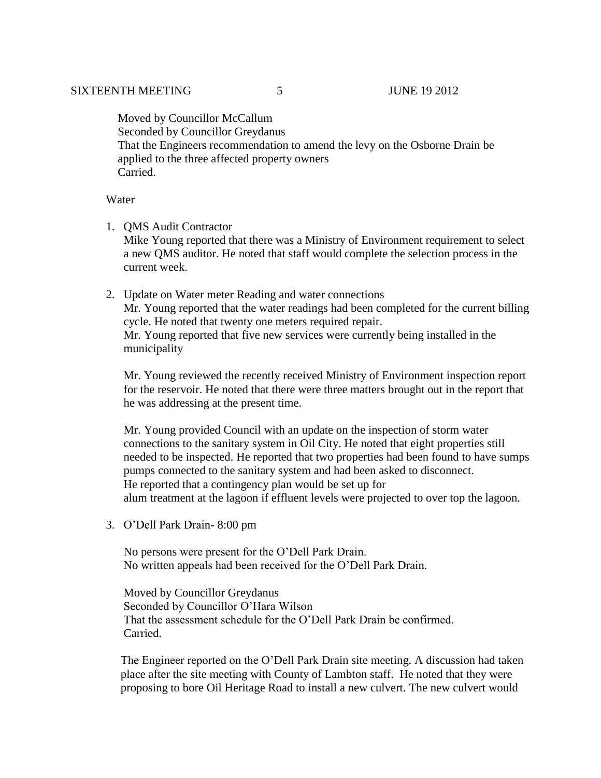Moved by Councillor McCallum Seconded by Councillor Greydanus That the Engineers recommendation to amend the levy on the Osborne Drain be applied to the three affected property owners Carried.

Water

- 1. QMS Audit Contractor Mike Young reported that there was a Ministry of Environment requirement to select a new QMS auditor. He noted that staff would complete the selection process in the current week.
- 2. Update on Water meter Reading and water connections Mr. Young reported that the water readings had been completed for the current billing cycle. He noted that twenty one meters required repair. Mr. Young reported that five new services were currently being installed in the municipality

Mr. Young reviewed the recently received Ministry of Environment inspection report for the reservoir. He noted that there were three matters brought out in the report that he was addressing at the present time.

Mr. Young provided Council with an update on the inspection of storm water connections to the sanitary system in Oil City. He noted that eight properties still needed to be inspected. He reported that two properties had been found to have sumps pumps connected to the sanitary system and had been asked to disconnect. He reported that a contingency plan would be set up for alum treatment at the lagoon if effluent levels were projected to over top the lagoon.

3. O'Dell Park Drain- 8:00 pm

No persons were present for the O'Dell Park Drain. No written appeals had been received for the O'Dell Park Drain.

Moved by Councillor Greydanus Seconded by Councillor O'Hara Wilson That the assessment schedule for the O'Dell Park Drain be confirmed. Carried.

 The Engineer reported on the O'Dell Park Drain site meeting. A discussion had taken place after the site meeting with County of Lambton staff. He noted that they were proposing to bore Oil Heritage Road to install a new culvert. The new culvert would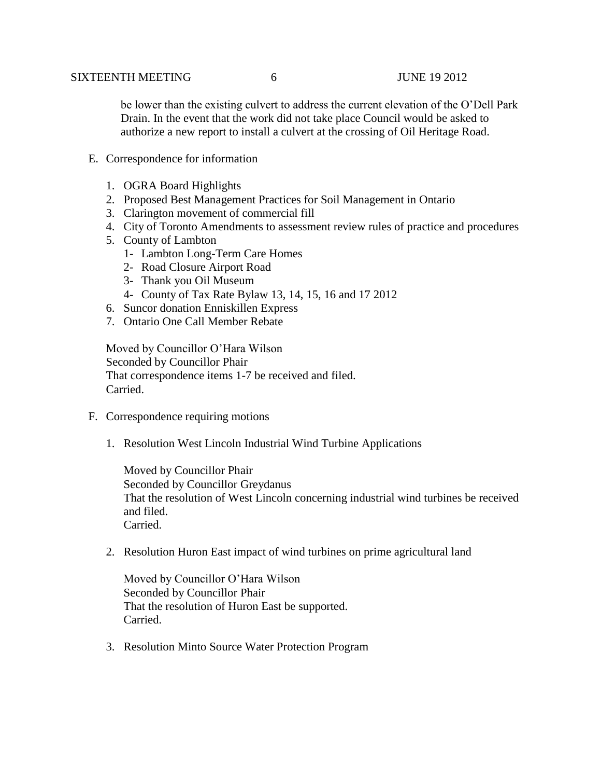be lower than the existing culvert to address the current elevation of the O'Dell Park Drain. In the event that the work did not take place Council would be asked to authorize a new report to install a culvert at the crossing of Oil Heritage Road.

- E. Correspondence for information
	- 1. OGRA Board Highlights
	- 2. Proposed Best Management Practices for Soil Management in Ontario
	- 3. Clarington movement of commercial fill
	- 4. City of Toronto Amendments to assessment review rules of practice and procedures
	- 5. County of Lambton
		- 1- Lambton Long-Term Care Homes
		- 2- Road Closure Airport Road
		- 3- Thank you Oil Museum
		- 4- County of Tax Rate Bylaw 13, 14, 15, 16 and 17 2012
	- 6. Suncor donation Enniskillen Express
	- 7. Ontario One Call Member Rebate

Moved by Councillor O'Hara Wilson Seconded by Councillor Phair That correspondence items 1-7 be received and filed. Carried.

- F. Correspondence requiring motions
	- 1. Resolution West Lincoln Industrial Wind Turbine Applications

Moved by Councillor Phair Seconded by Councillor Greydanus That the resolution of West Lincoln concerning industrial wind turbines be received and filed. Carried.

2. Resolution Huron East impact of wind turbines on prime agricultural land

Moved by Councillor O'Hara Wilson Seconded by Councillor Phair That the resolution of Huron East be supported. Carried.

3. Resolution Minto Source Water Protection Program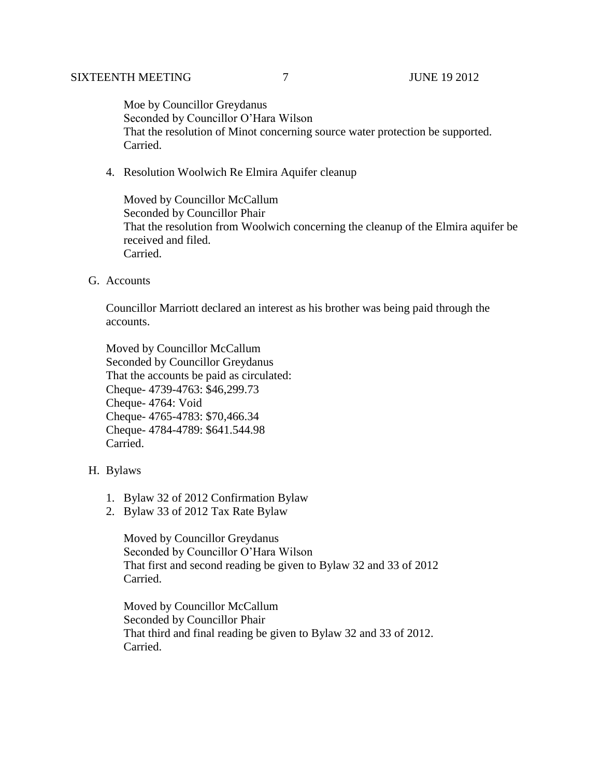Moe by Councillor Greydanus Seconded by Councillor O'Hara Wilson That the resolution of Minot concerning source water protection be supported. Carried.

4. Resolution Woolwich Re Elmira Aquifer cleanup

Moved by Councillor McCallum Seconded by Councillor Phair That the resolution from Woolwich concerning the cleanup of the Elmira aquifer be received and filed. Carried.

G. Accounts

Councillor Marriott declared an interest as his brother was being paid through the accounts.

Moved by Councillor McCallum Seconded by Councillor Greydanus That the accounts be paid as circulated: Cheque- 4739-4763: \$46,299.73 Cheque- 4764: Void Cheque- 4765-4783: \$70,466.34 Cheque- 4784-4789: \$641.544.98 Carried.

## H. Bylaws

- 1. Bylaw 32 of 2012 Confirmation Bylaw
- 2. Bylaw 33 of 2012 Tax Rate Bylaw

Moved by Councillor Greydanus Seconded by Councillor O'Hara Wilson That first and second reading be given to Bylaw 32 and 33 of 2012 Carried.

Moved by Councillor McCallum Seconded by Councillor Phair That third and final reading be given to Bylaw 32 and 33 of 2012. Carried.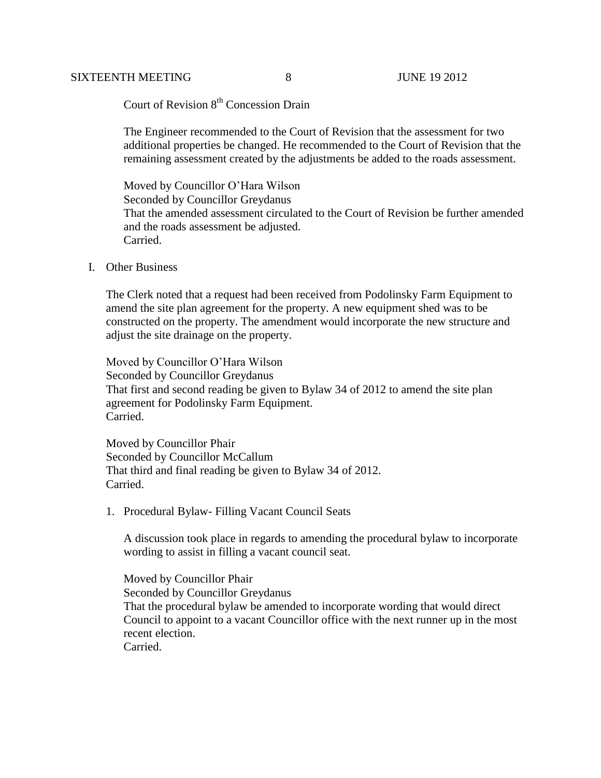### SIXTEENTH MEETING 8 JUNE 19 2012

Court of Revision 8<sup>th</sup> Concession Drain

The Engineer recommended to the Court of Revision that the assessment for two additional properties be changed. He recommended to the Court of Revision that the remaining assessment created by the adjustments be added to the roads assessment.

Moved by Councillor O'Hara Wilson Seconded by Councillor Greydanus That the amended assessment circulated to the Court of Revision be further amended and the roads assessment be adjusted. Carried.

#### I. Other Business

The Clerk noted that a request had been received from Podolinsky Farm Equipment to amend the site plan agreement for the property. A new equipment shed was to be constructed on the property. The amendment would incorporate the new structure and adjust the site drainage on the property.

Moved by Councillor O'Hara Wilson Seconded by Councillor Greydanus That first and second reading be given to Bylaw 34 of 2012 to amend the site plan agreement for Podolinsky Farm Equipment. Carried.

Moved by Councillor Phair Seconded by Councillor McCallum That third and final reading be given to Bylaw 34 of 2012. Carried.

1. Procedural Bylaw- Filling Vacant Council Seats

A discussion took place in regards to amending the procedural bylaw to incorporate wording to assist in filling a vacant council seat.

Moved by Councillor Phair Seconded by Councillor Greydanus That the procedural bylaw be amended to incorporate wording that would direct Council to appoint to a vacant Councillor office with the next runner up in the most recent election. Carried.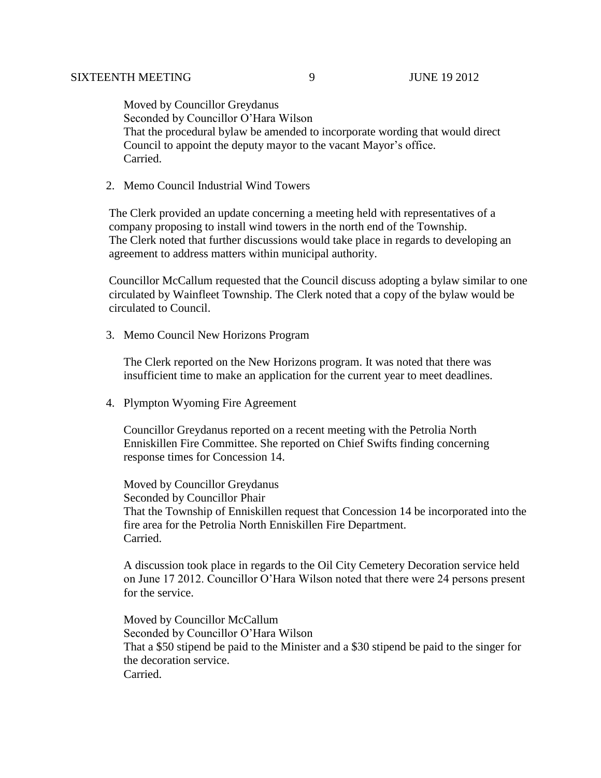Moved by Councillor Greydanus Seconded by Councillor O'Hara Wilson That the procedural bylaw be amended to incorporate wording that would direct Council to appoint the deputy mayor to the vacant Mayor's office. Carried.

2. Memo Council Industrial Wind Towers

 The Clerk provided an update concerning a meeting held with representatives of a company proposing to install wind towers in the north end of the Township. The Clerk noted that further discussions would take place in regards to developing an agreement to address matters within municipal authority.

 Councillor McCallum requested that the Council discuss adopting a bylaw similar to one circulated by Wainfleet Township. The Clerk noted that a copy of the bylaw would be circulated to Council.

3. Memo Council New Horizons Program

The Clerk reported on the New Horizons program. It was noted that there was insufficient time to make an application for the current year to meet deadlines.

4. Plympton Wyoming Fire Agreement

Councillor Greydanus reported on a recent meeting with the Petrolia North Enniskillen Fire Committee. She reported on Chief Swifts finding concerning response times for Concession 14.

Moved by Councillor Greydanus Seconded by Councillor Phair That the Township of Enniskillen request that Concession 14 be incorporated into the fire area for the Petrolia North Enniskillen Fire Department. Carried.

A discussion took place in regards to the Oil City Cemetery Decoration service held on June 17 2012. Councillor O'Hara Wilson noted that there were 24 persons present for the service.

Moved by Councillor McCallum Seconded by Councillor O'Hara Wilson That a \$50 stipend be paid to the Minister and a \$30 stipend be paid to the singer for the decoration service. Carried.